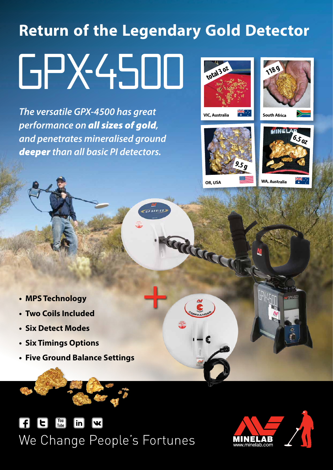# **Return of the Legendary Gold Detector** GPX4500 **total 3 oz 118 g**

**GP SERIES** 

*The versatile GPX‑4500 has great performance on all sizes of gold, and penetrates mineralised ground deeper than all basic PI detectors.*







Radda



**GPX45L** 

- **• MPS Technology**
- **• Two Coils Included**
- **• Six Detect Modes**
- **• Six Timings Options**
- **• Five Ground Balance Settings**